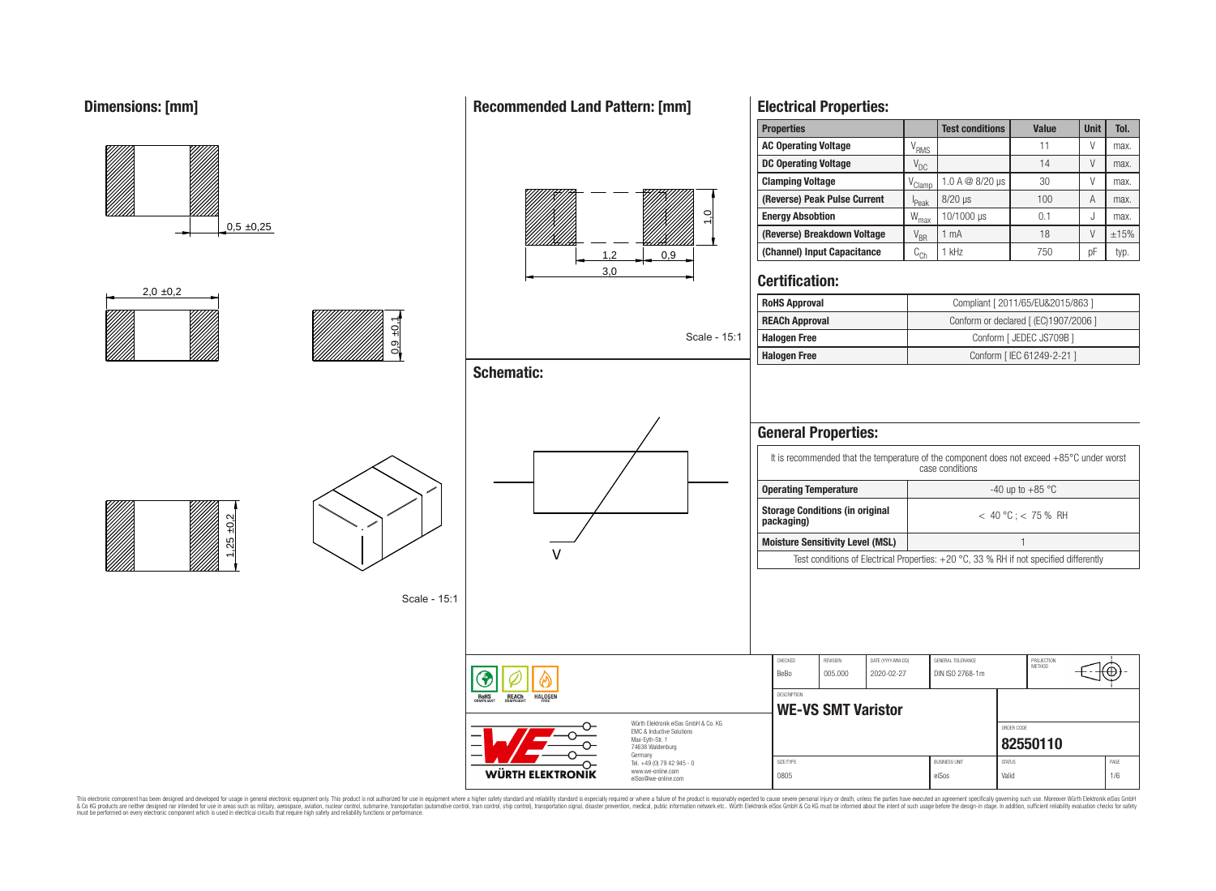

This electronic component has been designed and developed for usage in general electronic equipment only. This product is not authorized for use in equipment where a higher safely standard and reliability standard si espec & Ook product a label and the membed of the seasuch as marked and as which such a membed and the such assume that income in the seasuch and the simulation and the such assume that include to the such a membed and the such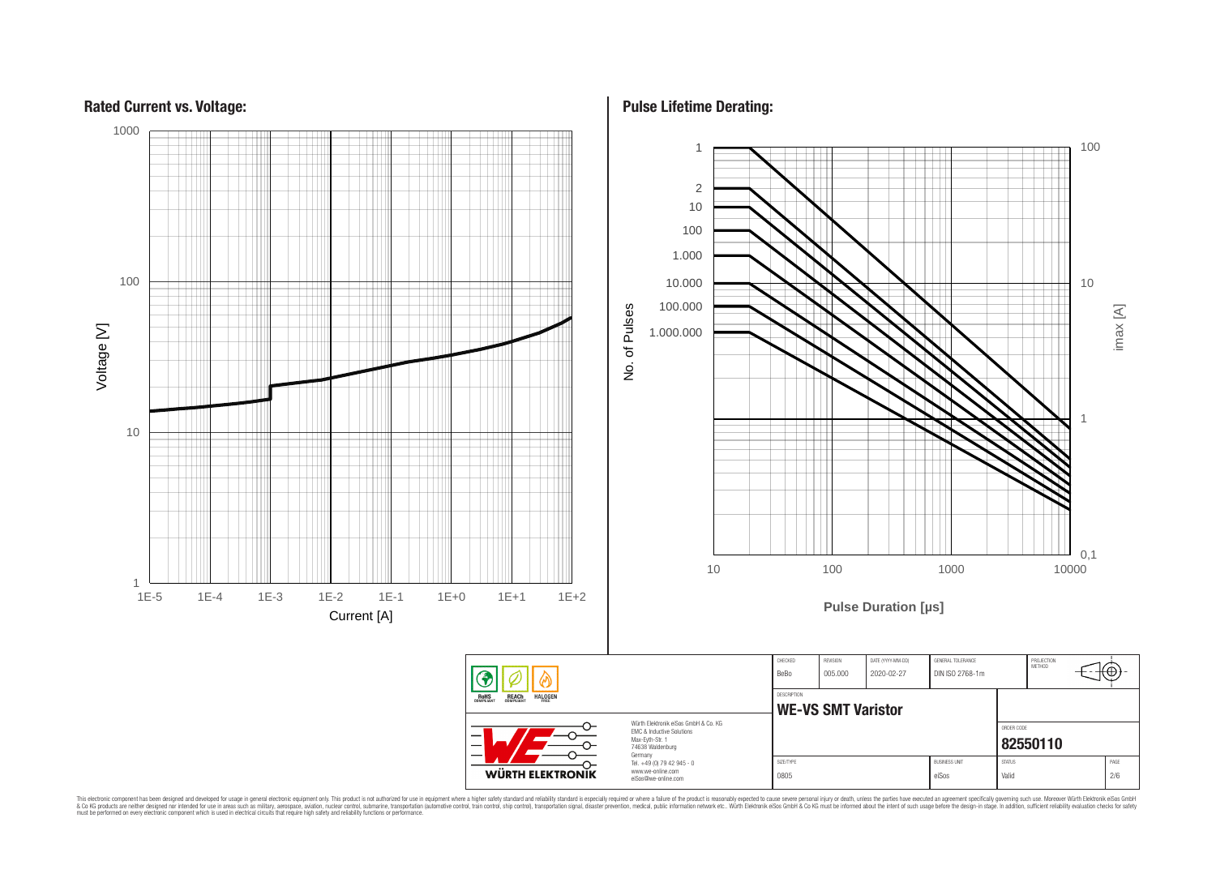

This electronic component has been designed and developed for usage in general electronic equipment only. This product is not authorized for subserved requipment where a higher selection equipment where a higher selection

## **Rated Current vs. Voltage:**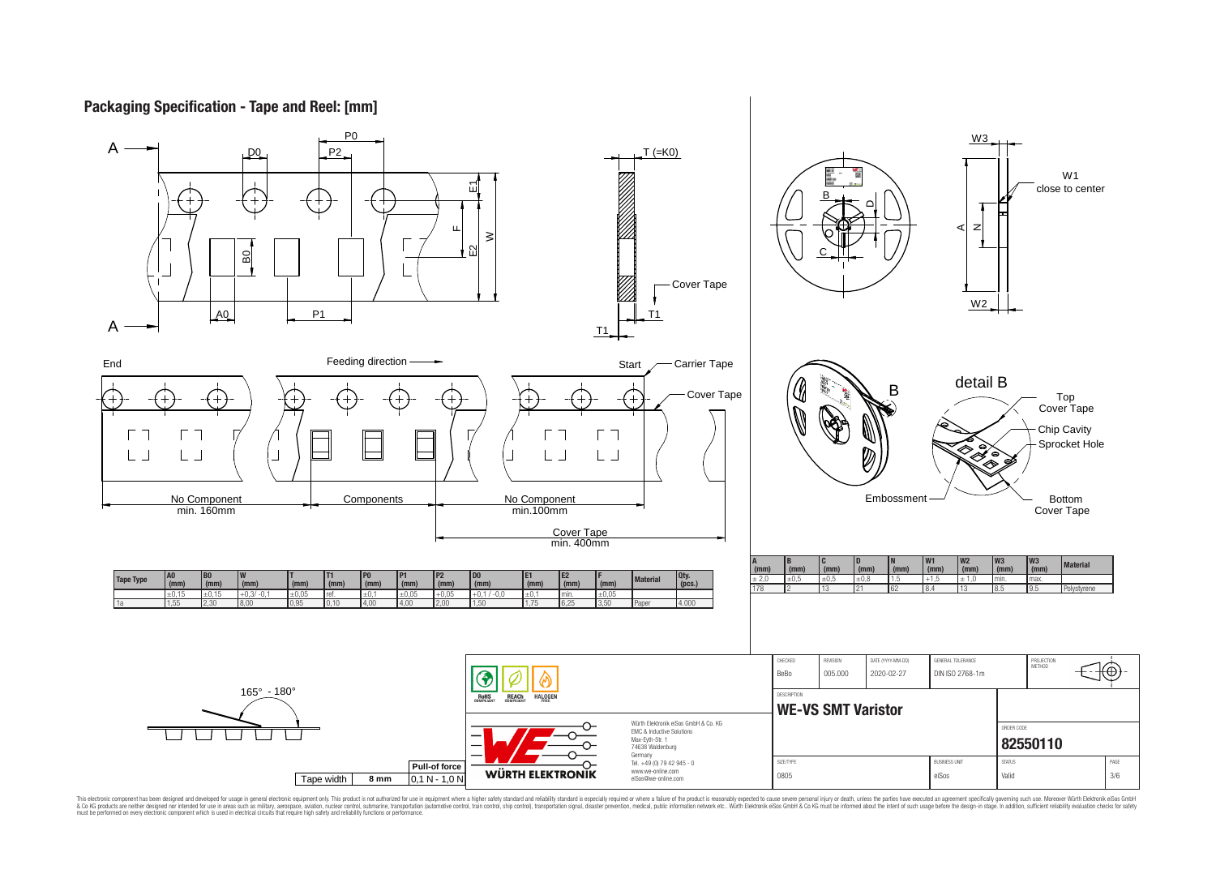## **Packaging Specification - Tape and Reel: [mm]**



This electronic component has been designed and developed for usage in general electronic equipment only. This product is not authorized for subserved requipment where a higher selection equipment where a higher selection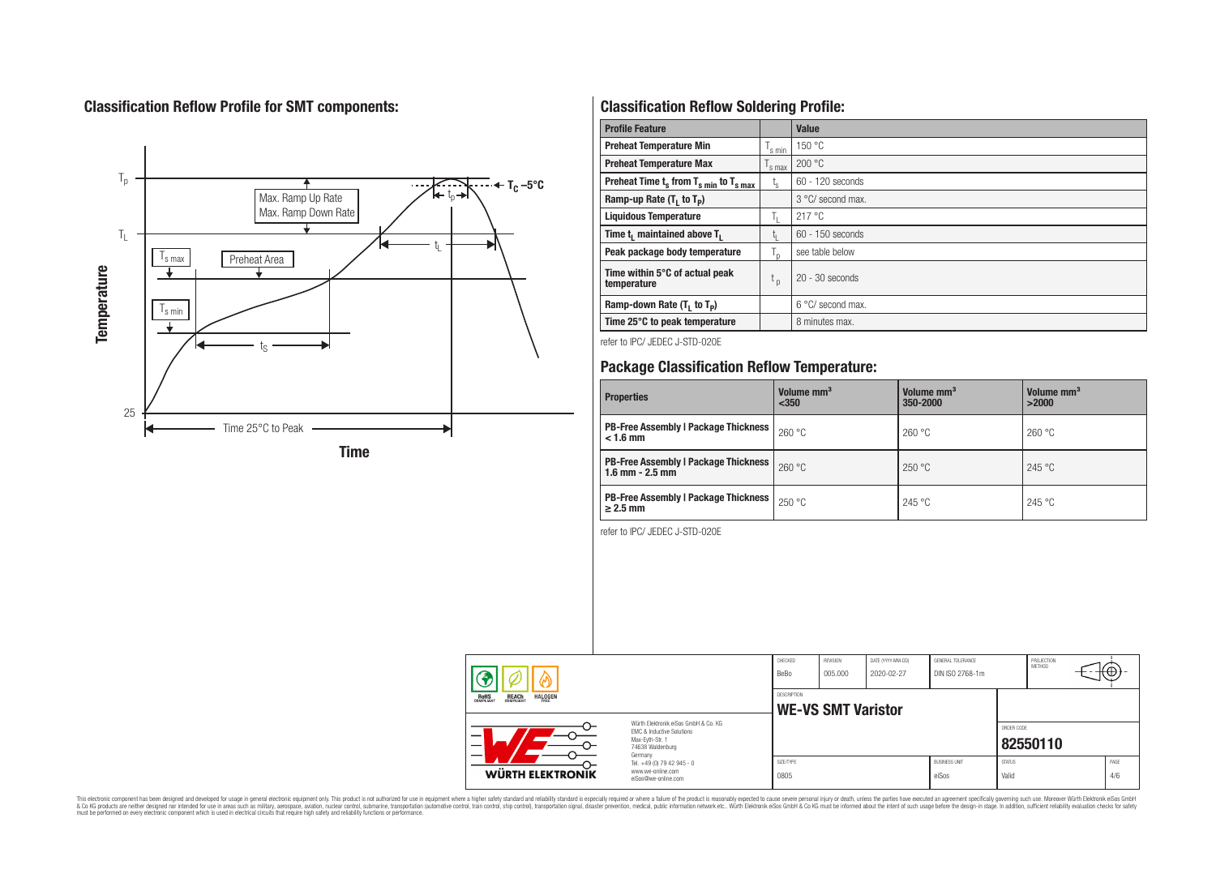# **Classification Reflow Profile for SMT components:**



# **Classification Reflow Soldering Profile:**

| <b>Profile Feature</b>                                               |                    | Value                      |
|----------------------------------------------------------------------|--------------------|----------------------------|
| <b>Preheat Temperature Min</b>                                       | 's min             | 150 °C                     |
| <b>Preheat Temperature Max</b>                                       | <sup>1</sup> s max | 200 °C                     |
| Preheat Time $t_s$ from $T_s$ <sub>min</sub> to $T_s$ <sub>max</sub> | $t_{s}$            | $60 - 120$ seconds         |
| Ramp-up Rate $(T_1$ to $T_p$ )                                       |                    | $3^{\circ}$ C/ second max. |
| <b>Liquidous Temperature</b>                                         | Т.                 | 217 °C                     |
| Time t <sub>1</sub> maintained above T <sub>1</sub>                  | t.                 | $60 - 150$ seconds         |
| Peak package body temperature                                        | $T_{\sf p}$        | see table below            |
| Time within 5°C of actual peak<br>temperature                        | $t_{p}$            | $20 - 30$ seconds          |
| Ramp-down Rate $(T_1$ to $T_p$ )                                     |                    | 6 °C/ second max.          |
| Time 25°C to peak temperature                                        |                    | 8 minutes max.             |

refer to IPC/ JEDEC J-STD-020E

# **Package Classification Reflow Temperature:**

| <b>Properties</b>                                                  | Volume mm <sup>3</sup><br>$350$ | Volume mm <sup>3</sup><br>350-2000 | Volume mm <sup>3</sup><br>>2000 |  |  |
|--------------------------------------------------------------------|---------------------------------|------------------------------------|---------------------------------|--|--|
| <b>PB-Free Assembly   Package Thickness</b><br>$< 1.6$ mm          | 260 °C                          | 260 °C                             | 260 °C                          |  |  |
| <b>PB-Free Assembly   Package Thickness</b><br>$1.6$ mm $- 2.5$ mm | 260 °C                          | 250 °C                             | 245 °C                          |  |  |
| <b>PB-Free Assembly   Package Thickness  </b><br>$\geq$ 2.5 mm     | 250 °C                          | 245 °C                             | 245 °C                          |  |  |

refer to IPC/ JEDEC J-STD-020E

| —<br><b>WÜRTH ELEKTRONIK</b>                | Max-Evth-Str. 1<br>74638 Waldenburg<br>Germany<br>Tel. +49 (0) 79 42 945 - 0<br>www.we-online.com<br>eiSos@we-online.com | SIZE/TYPE<br>0805              |                     |                                 | <b>BUSINESS UNIT</b><br>eiSos        | <b>STATUS</b><br>Valid | 82550110                    |  | PAGE<br>4/6 |
|---------------------------------------------|--------------------------------------------------------------------------------------------------------------------------|--------------------------------|---------------------|---------------------------------|--------------------------------------|------------------------|-----------------------------|--|-------------|
| ROHS<br>COMPLIANT<br>—                      | Würth Elektronik eiSos GmbH & Co. KG<br>EMC & Inductive Solutions                                                        | <b>WE-VS SMT Varistor</b>      |                     |                                 |                                      |                        | ORDER CODE                  |  |             |
| <b>REACH</b><br>COMPLIANT<br><b>HALOGEN</b> |                                                                                                                          | CHECKED<br>BeBo<br>DESCRIPTION | REVISION<br>005.000 | DATE (YYYY-MM-DD)<br>2020-02-27 | GENERAL TOLERANCE<br>DIN ISO 2768-1m |                        | PROJECTION<br><b>METHOD</b> |  | ⊣t⊕∗        |
|                                             |                                                                                                                          |                                |                     |                                 |                                      |                        |                             |  |             |

This electronic component has been designed and developed for usage in general electronic equipment only. This product is not authorized for subserved requipment where a higher selection equipment where a higher selection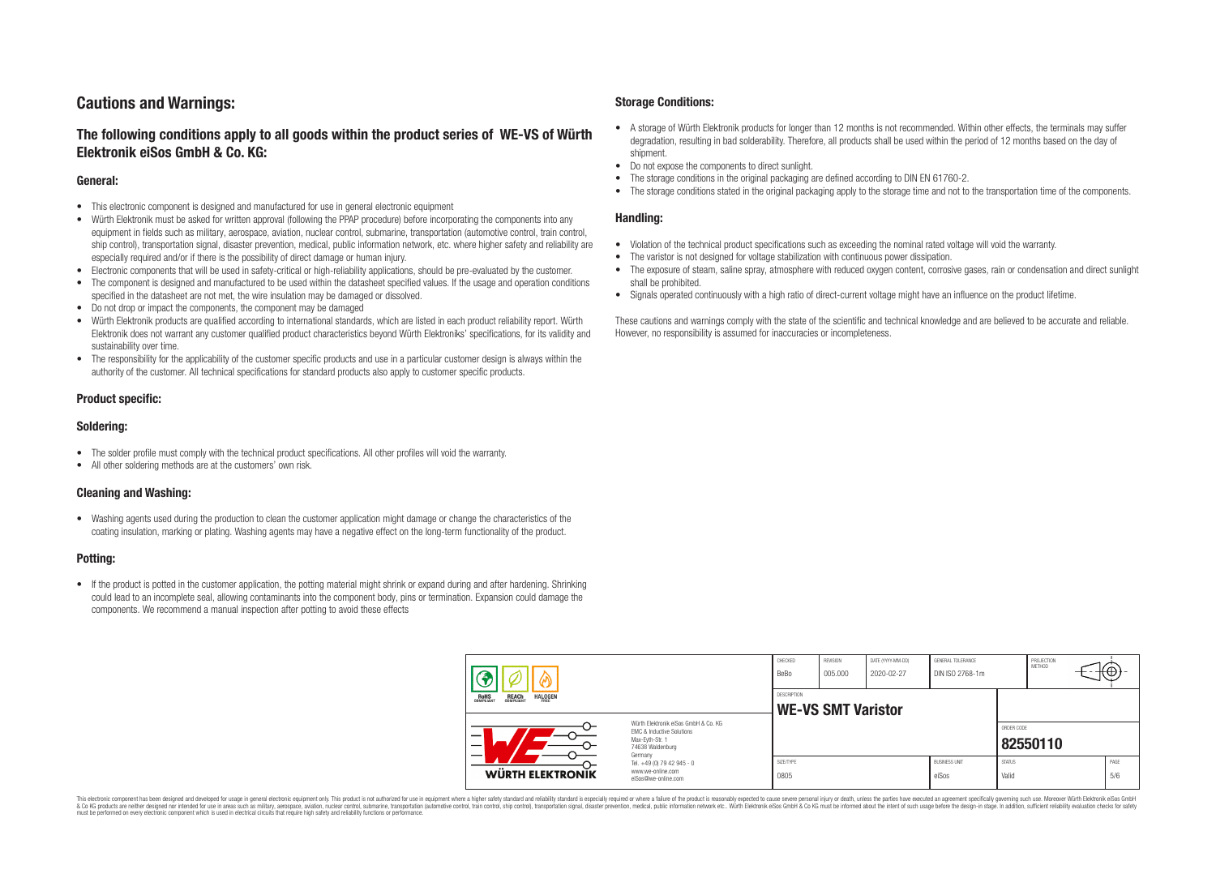# **Cautions and Warnings:**

## **The following conditions apply to all goods within the product series of WE-VS of Würth Elektronik eiSos GmbH & Co. KG:**

#### **General:**

- This electronic component is designed and manufactured for use in general electronic equipment
- Würth Elektronik must be asked for written approval (following the PPAP procedure) before incorporating the components into any equipment in fields such as military, aerospace, aviation, nuclear control, submarine, transportation (automotive control, train control, ship control), transportation signal, disaster prevention, medical, public information network, etc. where higher safety and reliability are especially required and/or if there is the possibility of direct damage or human injury.
- Electronic components that will be used in safety-critical or high-reliability applications, should be pre-evaluated by the customer.
- The component is designed and manufactured to be used within the datasheet specified values. If the usage and operation conditions specified in the datasheet are not met, the wire insulation may be damaged or dissolved.
- Do not drop or impact the components, the component may be damaged
- Würth Elektronik products are qualified according to international standards, which are listed in each product reliability report. Würth Elektronik does not warrant any customer qualified product characteristics beyond Würth Elektroniks' specifications, for its validity and sustainability over time.
- The responsibility for the applicability of the customer specific products and use in a particular customer design is always within the authority of the customer. All technical specifications for standard products also apply to customer specific products.

### **Product specific:**

#### **Soldering:**

- The solder profile must comply with the technical product specifications. All other profiles will void the warranty.
- All other soldering methods are at the customers' own risk.

#### **Cleaning and Washing:**

• Washing agents used during the production to clean the customer application might damage or change the characteristics of the coating insulation, marking or plating. Washing agents may have a negative effect on the long-term functionality of the product.

#### **Potting:**

• If the product is potted in the customer application, the potting material might shrink or expand during and after hardening. Shrinking could lead to an incomplete seal, allowing contaminants into the component body, pins or termination. Expansion could damage the components. We recommend a manual inspection after potting to avoid these effects

#### **Storage Conditions:**

- A storage of Würth Elektronik products for longer than 12 months is not recommended. Within other effects, the terminals may suffer degradation, resulting in bad solderability. Therefore, all products shall be used within the period of 12 months based on the day of shipment.
- Do not expose the components to direct sunlight.<br>• The storage conditions in the original packaging
- The storage conditions in the original packaging are defined according to DIN EN 61760-2.
- The storage conditions stated in the original packaging apply to the storage time and not to the transportation time of the components.

#### **Handling:**

- Violation of the technical product specifications such as exceeding the nominal rated voltage will void the warranty.
- The varistor is not designed for voltage stabilization with continuous power dissipation
- The exposure of steam, saline spray, atmosphere with reduced oxygen content, corrosive gases, rain or condensation and direct sunlight shall be prohibited.
- Signals operated continuously with a high ratio of direct-current voltage might have an influence on the product lifetime.

These cautions and warnings comply with the state of the scientific and technical knowledge and are believed to be accurate and reliable. However, no responsibility is assumed for inaccuracies or incompleteness.

|  |                                                                                                                          | CHECKED<br>BeBo                                                        | <b>REVISION</b><br>005.000                      | DATE (YYYY-MM-DD)<br>2020-02-27 | GENERAL TOLERANCE<br>DIN ISO 2768-1m |                               | PROJECTION<br>METHOD   | ⊬⊕∶      |             |
|--|--------------------------------------------------------------------------------------------------------------------------|------------------------------------------------------------------------|-------------------------------------------------|---------------------------------|--------------------------------------|-------------------------------|------------------------|----------|-------------|
|  | <b>ROHS</b><br>COMPLIANT<br><b>REACH</b><br>COMPLIANT<br><b>HALOGEN</b>                                                  |                                                                        | <b>DESCRIPTION</b><br><b>WE-VS SMT Varistor</b> |                                 |                                      |                               |                        |          |             |
|  | Würth Elektronik eiSos GmbH & Co. KG<br>EMC & Inductive Solutions<br>–<br>Max-Eyth-Str. 1<br>74638 Waldenburg<br>Germany |                                                                        |                                                 |                                 |                                      |                               | ORDER CODE             | 82550110 |             |
|  | <b>WÜRTH ELEKTRONIK</b>                                                                                                  | Tel. +49 (0) 79 42 945 - 0<br>www.we-online.com<br>eiSos@we-online.com | SIZE/TYPE<br>0805                               |                                 |                                      | <b>BUSINESS UNIT</b><br>eiSos | <b>STATUS</b><br>Valid |          | PAGE<br>5/6 |

This electronic component has been designed and developed for usage in general electronic equipment only. This product is not authorized for use in equipment where a higher safety standard and reliability standard si espec & Ook product a label and the membed of the seasuch as marked and as which such a membed and the such assume that income in the seasuch and the simulation and the such assume that include to the such a membed and the such